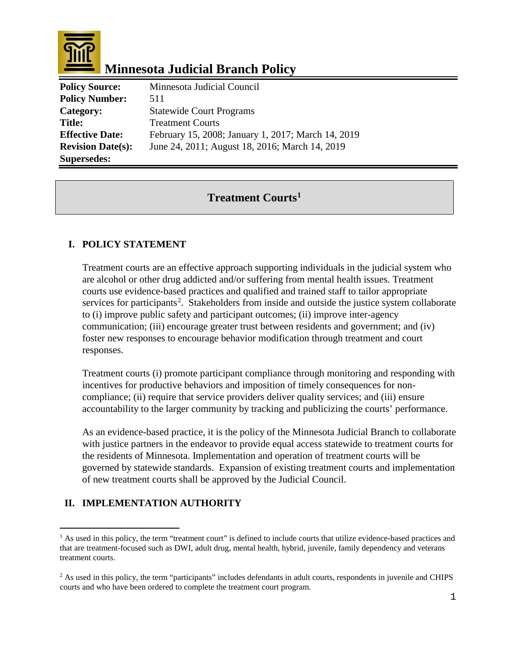

# **Minnesota Judicial Branch Policy**

| <b>Policy Source:</b>    | Minnesota Judicial Council                         |
|--------------------------|----------------------------------------------------|
| <b>Policy Number:</b>    | 511                                                |
| Category:                | <b>Statewide Court Programs</b>                    |
| <b>Title:</b>            | <b>Treatment Courts</b>                            |
| <b>Effective Date:</b>   | February 15, 2008; January 1, 2017; March 14, 2019 |
| <b>Revision Date(s):</b> | June 24, 2011; August 18, 2016; March 14, 2019     |
| <b>Supersedes:</b>       |                                                    |

## **Treatment Courts[1](#page-0-0)**

#### **I. POLICY STATEMENT**

Treatment courts are an effective approach supporting individuals in the judicial system who are alcohol or other drug addicted and/or suffering from mental health issues. Treatment courts use evidence-based practices and qualified and trained staff to tailor appropriate services for participants<sup>[2](#page-0-1)</sup>. Stakeholders from inside and outside the justice system collaborate to (i) improve public safety and participant outcomes; (ii) improve inter-agency communication; (iii) encourage greater trust between residents and government; and (iv) foster new responses to encourage behavior modification through treatment and court responses.

Treatment courts (i) promote participant compliance through monitoring and responding with incentives for productive behaviors and imposition of timely consequences for noncompliance; (ii) require that service providers deliver quality services; and (iii) ensure accountability to the larger community by tracking and publicizing the courts' performance.

As an evidence-based practice, it is the policy of the Minnesota Judicial Branch to collaborate with justice partners in the endeavor to provide equal access statewide to treatment courts for the residents of Minnesota. Implementation and operation of treatment courts will be governed by statewide standards. Expansion of existing treatment courts and implementation of new treatment courts shall be approved by the Judicial Council.

### **II. IMPLEMENTATION AUTHORITY**

<span id="page-0-0"></span>Ĩ.  $<sup>1</sup>$  As used in this policy, the term "treatment court" is defined to include courts that utilize evidence-based practices and</sup> that are treatment-focused such as DWI, adult drug, mental health, hybrid, juvenile, family dependency and veterans treatment courts.

<span id="page-0-1"></span><sup>&</sup>lt;sup>2</sup> As used in this policy, the term "participants" includes defendants in adult courts, respondents in juvenile and CHIPS courts and who have been ordered to complete the treatment court program.